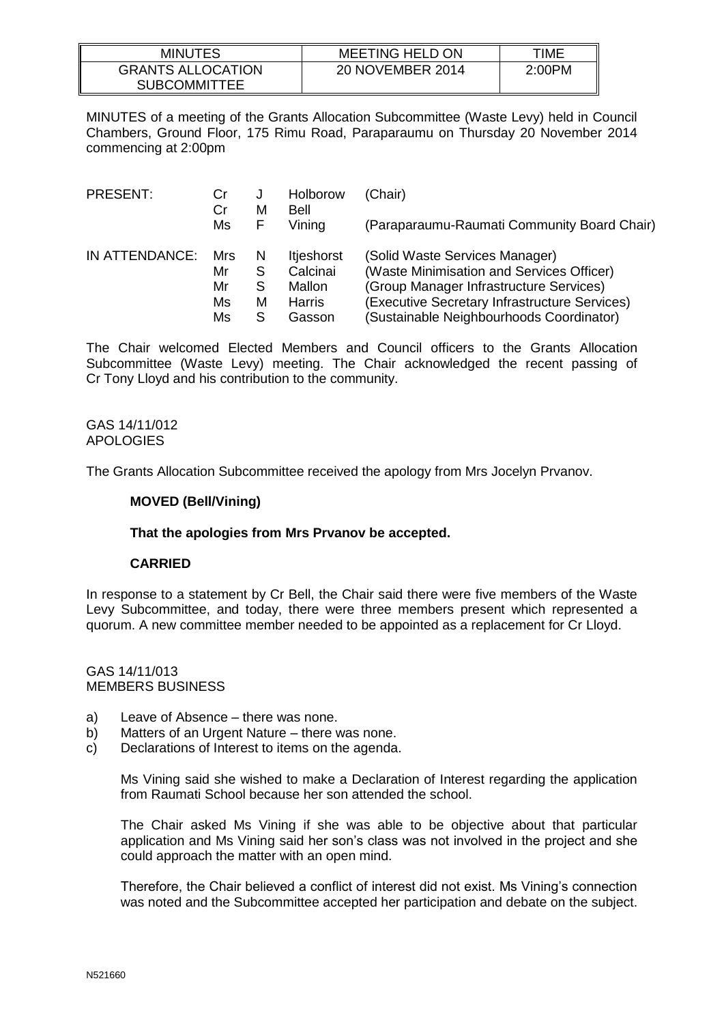| <b>MINUTES</b>                                  | <b>MEETING HELD ON</b> | TIME   |
|-------------------------------------------------|------------------------|--------|
| <b>GRANTS ALLOCATION</b><br><b>SUBCOMMITTEE</b> | 20 NOVEMBER 2014       | 2:00PM |

MINUTES of a meeting of the Grants Allocation Subcommittee (Waste Levy) held in Council Chambers, Ground Floor, 175 Rimu Road, Paraparaumu on Thursday 20 November 2014 commencing at 2:00pm

| PRESENT:       | Cr       | J      | Holborow       | (Chair)                                       |
|----------------|----------|--------|----------------|-----------------------------------------------|
|                | Cr<br>Ms | М<br>F | Bell<br>Vining | (Paraparaumu-Raumati Community Board Chair)   |
| IN ATTENDANCE: | Mrs      | N      | Itjeshorst     | (Solid Waste Services Manager)                |
|                | Mr       | S      | Calcinai       | (Waste Minimisation and Services Officer)     |
|                | Mr       | S      | Mallon         | (Group Manager Infrastructure Services)       |
|                | Ms       | м      | <b>Harris</b>  | (Executive Secretary Infrastructure Services) |
|                | Ms       | S      | Gasson         | (Sustainable Neighbourhoods Coordinator)      |

The Chair welcomed Elected Members and Council officers to the Grants Allocation Subcommittee (Waste Levy) meeting. The Chair acknowledged the recent passing of Cr Tony Lloyd and his contribution to the community.

GAS 14/11/012 APOLOGIES

The Grants Allocation Subcommittee received the apology from Mrs Jocelyn Prvanov.

## **MOVED (Bell/Vining)**

## **That the apologies from Mrs Prvanov be accepted.**

## **CARRIED**

In response to a statement by Cr Bell, the Chair said there were five members of the Waste Levy Subcommittee, and today, there were three members present which represented a quorum. A new committee member needed to be appointed as a replacement for Cr Lloyd.

GAS 14/11/013 MEMBERS BUSINESS

- a) Leave of Absence there was none.
- b) Matters of an Urgent Nature there was none.
- c) Declarations of Interest to items on the agenda.

Ms Vining said she wished to make a Declaration of Interest regarding the application from Raumati School because her son attended the school.

The Chair asked Ms Vining if she was able to be objective about that particular application and Ms Vining said her son's class was not involved in the project and she could approach the matter with an open mind.

Therefore, the Chair believed a conflict of interest did not exist. Ms Vining's connection was noted and the Subcommittee accepted her participation and debate on the subject.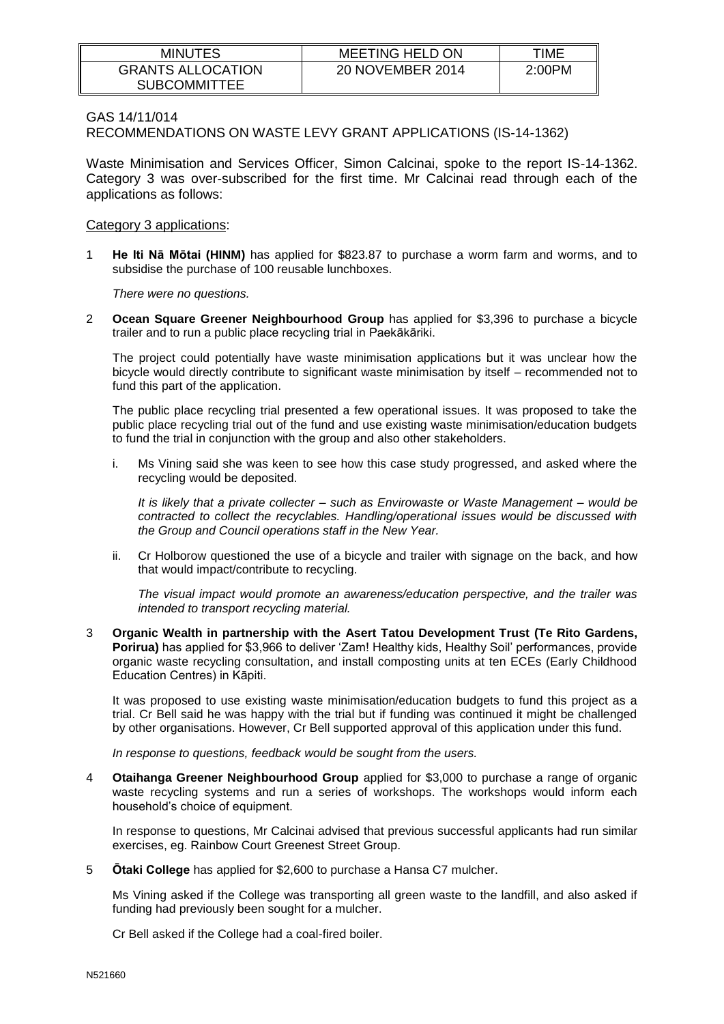| <b>MINUTES</b>                                  | <b>MEETING HELD ON</b> | TIME   |
|-------------------------------------------------|------------------------|--------|
| <b>GRANTS ALLOCATION</b><br><b>SUBCOMMITTEE</b> | 20 NOVEMBER 2014       | 2:00PM |

### GAS 14/11/014

RECOMMENDATIONS ON WASTE LEVY GRANT APPLICATIONS (IS-14-1362)

Waste Minimisation and Services Officer, Simon Calcinai, spoke to the report IS-14-1362. Category 3 was over-subscribed for the first time. Mr Calcinai read through each of the applications as follows:

### Category 3 applications:

1 **He Iti Nā Mōtai (HINM)** has applied for \$823.87 to purchase a worm farm and worms, and to subsidise the purchase of 100 reusable lunchboxes.

*There were no questions.*

2 **Ocean Square Greener Neighbourhood Group** has applied for \$3,396 to purchase a bicycle trailer and to run a public place recycling trial in Paekākāriki.

The project could potentially have waste minimisation applications but it was unclear how the bicycle would directly contribute to significant waste minimisation by itself – recommended not to fund this part of the application.

The public place recycling trial presented a few operational issues. It was proposed to take the public place recycling trial out of the fund and use existing waste minimisation/education budgets to fund the trial in conjunction with the group and also other stakeholders.

i. Ms Vining said she was keen to see how this case study progressed, and asked where the recycling would be deposited.

*It is likely that a private collecter – such as Envirowaste or Waste Management – would be contracted to collect the recyclables. Handling/operational issues would be discussed with the Group and Council operations staff in the New Year.* 

ii. Cr Holborow questioned the use of a bicycle and trailer with signage on the back, and how that would impact/contribute to recycling.

*The visual impact would promote an awareness/education perspective, and the trailer was intended to transport recycling material.* 

3 **Organic Wealth in partnership with the Asert Tatou Development Trust (Te Rito Gardens, Porirua)** has applied for \$3,966 to deliver 'Zam! Healthy kids, Healthy Soil' performances, provide organic waste recycling consultation, and install composting units at ten ECEs (Early Childhood Education Centres) in Kāpiti.

It was proposed to use existing waste minimisation/education budgets to fund this project as a trial. Cr Bell said he was happy with the trial but if funding was continued it might be challenged by other organisations. However, Cr Bell supported approval of this application under this fund.

*In response to questions, feedback would be sought from the users.*

4 **Otaihanga Greener Neighbourhood Group** applied for \$3,000 to purchase a range of organic waste recycling systems and run a series of workshops. The workshops would inform each household's choice of equipment.

In response to questions, Mr Calcinai advised that previous successful applicants had run similar exercises, eg. Rainbow Court Greenest Street Group.

5 **Ōtaki College** has applied for \$2,600 to purchase a Hansa C7 mulcher.

Ms Vining asked if the College was transporting all green waste to the landfill, and also asked if funding had previously been sought for a mulcher.

Cr Bell asked if the College had a coal-fired boiler.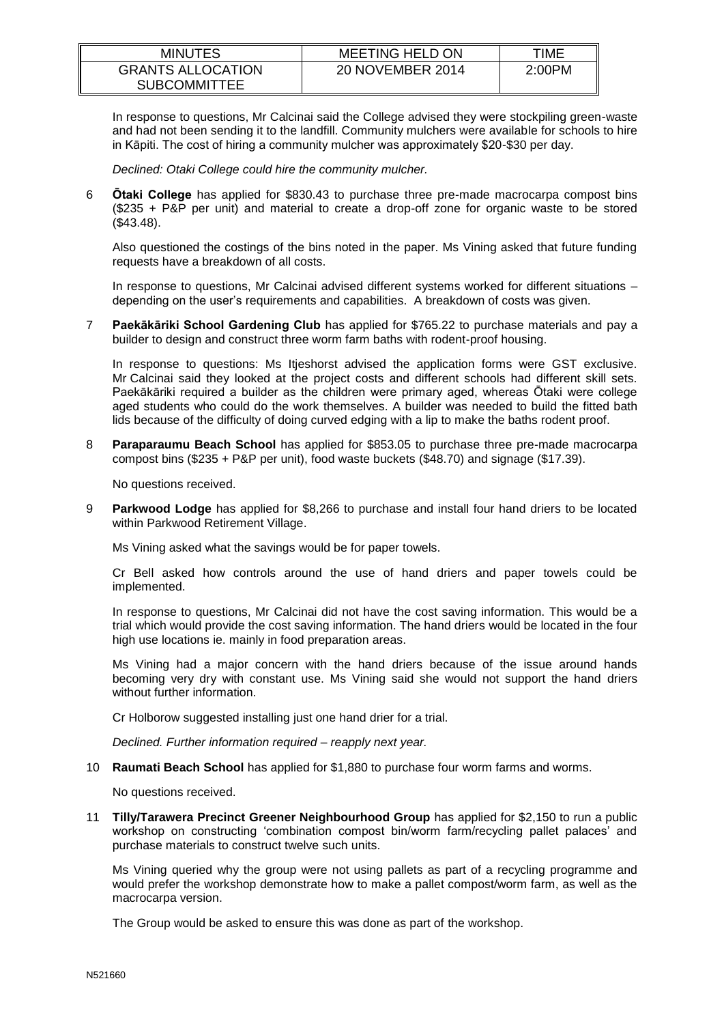| <b>MINUTES</b>                                  | <b>MEETING HELD ON</b> | TIME   |
|-------------------------------------------------|------------------------|--------|
| <b>GRANTS ALLOCATION</b><br><b>SUBCOMMITTEE</b> | 20 NOVEMBER 2014       | 2:00PM |

In response to questions, Mr Calcinai said the College advised they were stockpiling green-waste and had not been sending it to the landfill. Community mulchers were available for schools to hire in Kāpiti. The cost of hiring a community mulcher was approximately \$20-\$30 per day.

*Declined: Otaki College could hire the community mulcher.*

6 **Ōtaki College** has applied for \$830.43 to purchase three pre-made macrocarpa compost bins (\$235 + P&P per unit) and material to create a drop-off zone for organic waste to be stored (\$43.48).

Also questioned the costings of the bins noted in the paper. Ms Vining asked that future funding requests have a breakdown of all costs.

In response to questions, Mr Calcinai advised different systems worked for different situations – depending on the user's requirements and capabilities. A breakdown of costs was given.

7 **Paekākāriki School Gardening Club** has applied for \$765.22 to purchase materials and pay a builder to design and construct three worm farm baths with rodent-proof housing.

In response to questions: Ms Itjeshorst advised the application forms were GST exclusive. Mr Calcinai said they looked at the project costs and different schools had different skill sets. Paekākāriki required a builder as the children were primary aged, whereas Ōtaki were college aged students who could do the work themselves. A builder was needed to build the fitted bath lids because of the difficulty of doing curved edging with a lip to make the baths rodent proof.

8 **Paraparaumu Beach School** has applied for \$853.05 to purchase three pre-made macrocarpa compost bins (\$235 + P&P per unit), food waste buckets (\$48.70) and signage (\$17.39).

No questions received.

9 **Parkwood Lodge** has applied for \$8,266 to purchase and install four hand driers to be located within Parkwood Retirement Village.

Ms Vining asked what the savings would be for paper towels.

Cr Bell asked how controls around the use of hand driers and paper towels could be implemented.

In response to questions, Mr Calcinai did not have the cost saving information. This would be a trial which would provide the cost saving information. The hand driers would be located in the four high use locations ie. mainly in food preparation areas.

Ms Vining had a major concern with the hand driers because of the issue around hands becoming very dry with constant use. Ms Vining said she would not support the hand driers without further information.

Cr Holborow suggested installing just one hand drier for a trial.

*Declined. Further information required – reapply next year.*

10 **Raumati Beach School** has applied for \$1,880 to purchase four worm farms and worms.

No questions received.

11 **Tilly/Tarawera Precinct Greener Neighbourhood Group** has applied for \$2,150 to run a public workshop on constructing 'combination compost bin/worm farm/recycling pallet palaces' and purchase materials to construct twelve such units.

Ms Vining queried why the group were not using pallets as part of a recycling programme and would prefer the workshop demonstrate how to make a pallet compost/worm farm, as well as the macrocarpa version.

The Group would be asked to ensure this was done as part of the workshop.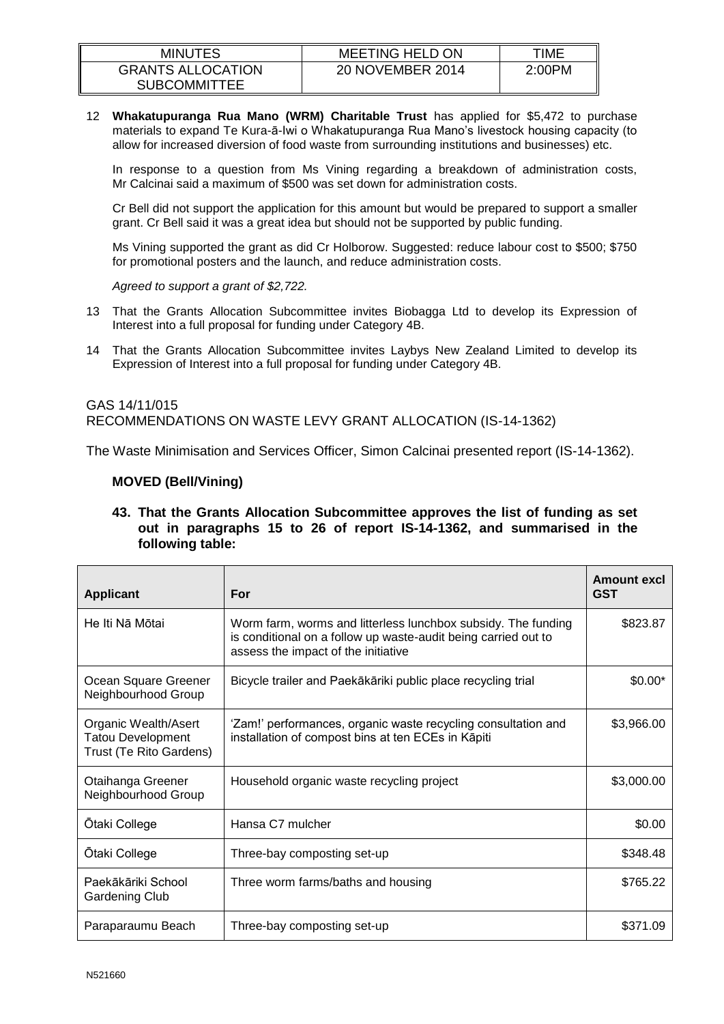| <b>MINUTES</b>                                  | <b>MEETING HELD ON</b> | ™E     |
|-------------------------------------------------|------------------------|--------|
| <b>GRANTS ALLOCATION</b><br><b>SUBCOMMITTEE</b> | 20 NOVEMBER 2014       | 2:00PM |

12 **Whakatupuranga Rua Mano (WRM) Charitable Trust** has applied for \$5,472 to purchase materials to expand Te Kura-ā-Iwi o Whakatupuranga Rua Mano's livestock housing capacity (to allow for increased diversion of food waste from surrounding institutions and businesses) etc.

In response to a question from Ms Vining regarding a breakdown of administration costs, Mr Calcinai said a maximum of \$500 was set down for administration costs.

Cr Bell did not support the application for this amount but would be prepared to support a smaller grant. Cr Bell said it was a great idea but should not be supported by public funding.

Ms Vining supported the grant as did Cr Holborow. Suggested: reduce labour cost to \$500; \$750 for promotional posters and the launch, and reduce administration costs.

*Agreed to support a grant of \$2,722.*

- 13 That the Grants Allocation Subcommittee invites Biobagga Ltd to develop its Expression of Interest into a full proposal for funding under Category 4B.
- 14 That the Grants Allocation Subcommittee invites Laybys New Zealand Limited to develop its Expression of Interest into a full proposal for funding under Category 4B.

## GAS 14/11/015 RECOMMENDATIONS ON WASTE LEVY GRANT ALLOCATION (IS-14-1362)

The Waste Minimisation and Services Officer, Simon Calcinai presented report (IS-14-1362).

## **MOVED (Bell/Vining)**

**43. That the Grants Allocation Subcommittee approves the list of funding as set out in paragraphs 15 to 26 of report IS-14-1362, and summarised in the following table:**

| <b>Applicant</b>                                                            | For                                                                                                                                                                    | Amount excl<br><b>GST</b> |
|-----------------------------------------------------------------------------|------------------------------------------------------------------------------------------------------------------------------------------------------------------------|---------------------------|
| He Iti Na Motai                                                             | Worm farm, worms and litterless lunchbox subsidy. The funding<br>is conditional on a follow up waste-audit being carried out to<br>assess the impact of the initiative | \$823.87                  |
| Ocean Square Greener<br>Neighbourhood Group                                 | Bicycle trailer and Paekākāriki public place recycling trial                                                                                                           | $$0.00*$                  |
| Organic Wealth/Asert<br><b>Tatou Development</b><br>Trust (Te Rito Gardens) | 'Zam!' performances, organic waste recycling consultation and<br>installation of compost bins at ten ECEs in Kāpiti                                                    | \$3,966.00                |
| Otaihanga Greener<br>Neighbourhood Group                                    | Household organic waste recycling project                                                                                                                              | \$3,000.00                |
| <b>Otaki College</b>                                                        | Hansa C7 mulcher                                                                                                                                                       | \$0.00                    |
| Otaki College                                                               | Three-bay composting set-up                                                                                                                                            | \$348.48                  |
| Paekākāriki School<br><b>Gardening Club</b>                                 | Three worm farms/baths and housing                                                                                                                                     | \$765.22                  |
| Paraparaumu Beach                                                           | Three-bay composting set-up                                                                                                                                            | \$371.09                  |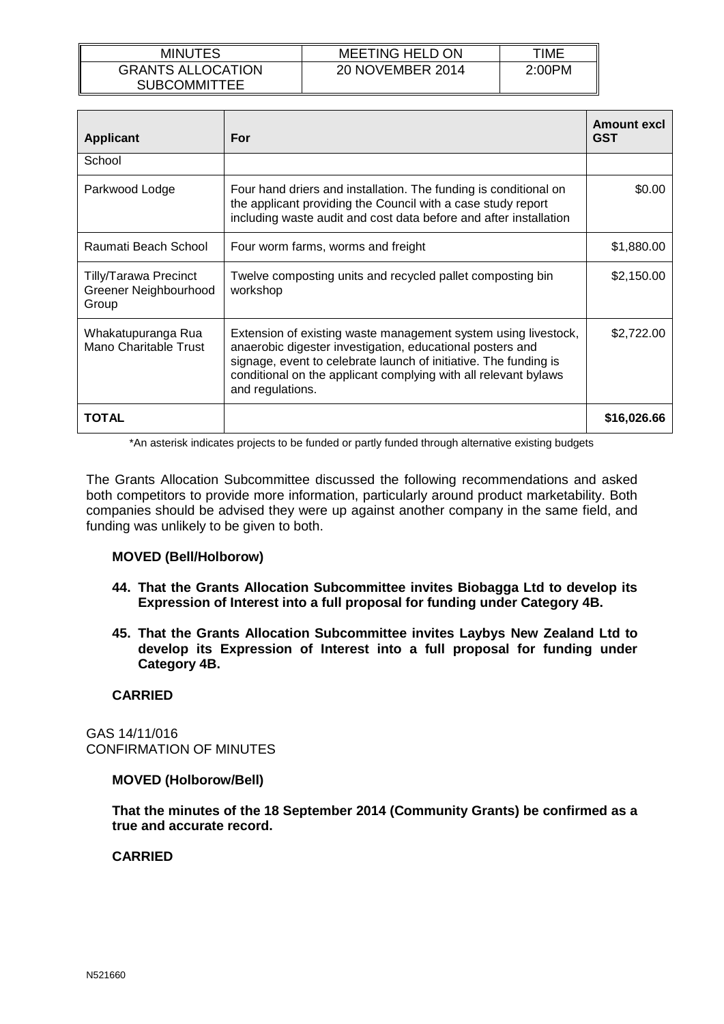| <b>MINUTES</b>                                  | <b>MEETING HELD ON</b> | TIME   |
|-------------------------------------------------|------------------------|--------|
| <b>GRANTS ALLOCATION</b><br><b>SUBCOMMITTEE</b> | 20 NOVEMBER 2014       | 2:00PM |

| <b>Applicant</b>                                               | For                                                                                                                                                                                                                                                                                    | Amount excl<br><b>GST</b> |
|----------------------------------------------------------------|----------------------------------------------------------------------------------------------------------------------------------------------------------------------------------------------------------------------------------------------------------------------------------------|---------------------------|
| School                                                         |                                                                                                                                                                                                                                                                                        |                           |
| Parkwood Lodge                                                 | Four hand driers and installation. The funding is conditional on<br>the applicant providing the Council with a case study report<br>including waste audit and cost data before and after installation                                                                                  | \$0.00                    |
| Raumati Beach School                                           | Four worm farms, worms and freight                                                                                                                                                                                                                                                     | \$1,880.00                |
| <b>Tilly/Tarawa Precinct</b><br>Greener Neighbourhood<br>Group | Twelve composting units and recycled pallet composting bin<br>workshop                                                                                                                                                                                                                 | \$2,150.00                |
| Whakatupuranga Rua<br>Mano Charitable Trust                    | Extension of existing waste management system using livestock,<br>anaerobic digester investigation, educational posters and<br>signage, event to celebrate launch of initiative. The funding is<br>conditional on the applicant complying with all relevant bylaws<br>and regulations. | \$2,722.00                |
| TOTAL                                                          |                                                                                                                                                                                                                                                                                        | \$16,026.66               |

\*An asterisk indicates projects to be funded or partly funded through alternative existing budgets

The Grants Allocation Subcommittee discussed the following recommendations and asked both competitors to provide more information, particularly around product marketability. Both companies should be advised they were up against another company in the same field, and funding was unlikely to be given to both.

# **MOVED (Bell/Holborow)**

- **44. That the Grants Allocation Subcommittee invites Biobagga Ltd to develop its Expression of Interest into a full proposal for funding under Category 4B.**
- **45. That the Grants Allocation Subcommittee invites Laybys New Zealand Ltd to develop its Expression of Interest into a full proposal for funding under Category 4B.**

# **CARRIED**

GAS 14/11/016 CONFIRMATION OF MINUTES

## **MOVED (Holborow/Bell)**

**That the minutes of the 18 September 2014 (Community Grants) be confirmed as a true and accurate record.**

# **CARRIED**